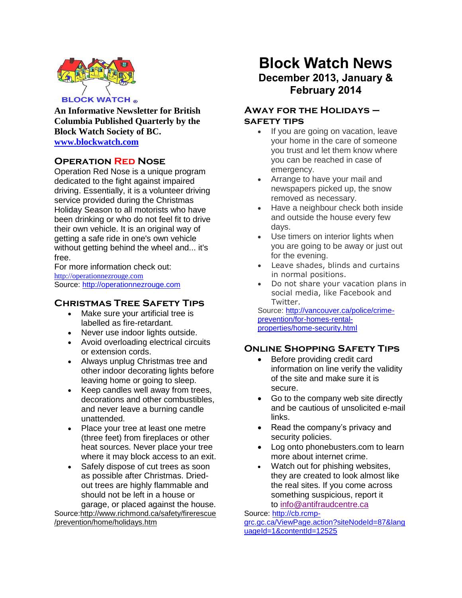

**An Informative Newsletter for British Columbia Published Quarterly by the Block Watch Society of BC. [www.blockwatch.com](http://www.blockwatch.com/)**

# **Operation Red Nose**

Operation Red Nose is a unique program dedicated to the fight against impaired driving. Essentially, it is a volunteer driving service provided during the Christmas Holiday Season to all motorists who have been drinking or who do not feel fit to drive their own vehicle. It is an original way of getting a safe ride in one's own vehicle without getting behind the wheel and... it's free.

For more information check out: [http://operationnezrouge.com](http://operationnezrouge.com/) Source: [http://operationnezrouge.com](http://operationnezrouge.com/)

## **Christmas Tree Safety Tips**

- Make sure your artificial tree is labelled as fire-retardant.
- Never use indoor lights outside.
- Avoid overloading electrical circuits or extension cords.
- Always unplug Christmas tree and other indoor decorating lights before leaving home or going to sleep.
- Keep candles well away from trees, decorations and other combustibles, and never leave a burning candle unattended.
- Place your tree at least one metre (three feet) from fireplaces or other heat sources. Never place your tree where it may block access to an exit.
- Safely dispose of cut trees as soon as possible after Christmas. Driedout trees are highly flammable and should not be left in a house or garage, or placed against the house. Source:http://www.richmond.ca/safety/firerescue

/prevention/home/holidays.htm

# **Block Watch News December 2013, January & February 2014**

# **Away for the Holidays – safety tips**

- If you are going on vacation, leave your home in the care of someone you trust and let them know where you can be reached in case of emergency.
- Arrange to have your mail and newspapers picked up, the snow removed as necessary.
- Have a neighbour check both inside and outside the house every few days.
- Use timers on interior lights when you are going to be away or just out for the evening.
- Leave shades, blinds and curtains in normal positions.
- Do not share your vacation plans in social media, like Facebook and Twitter.

Source: [http://vancouver.ca/police/crime](http://vancouver.ca/police/crime-prevention/for-homes-rental-properties/home-security.html)[prevention/for-homes-rental](http://vancouver.ca/police/crime-prevention/for-homes-rental-properties/home-security.html)[properties/home-security.html](http://vancouver.ca/police/crime-prevention/for-homes-rental-properties/home-security.html)

# **Online Shopping Safety Tips**

- Before providing credit card information on line verify the validity of the site and make sure it is secure.
- Go to the company web site directly and be cautious of unsolicited e-mail links.
- Read the company's privacy and security policies.
- Log onto phonebusters.com to learn more about internet crime.
- Watch out for phishing websites. they are created to look almost like the real sites. If you come across something suspicious, report it to [info@antifraudcentre.ca](mailto:info@antifraudcentre.ca)

Source: [http://cb.rcmp](http://cb.rcmp-grc.gc.ca/ViewPage.action?siteNodeId=87&languageId=1&contentId=12525)[grc.gc.ca/ViewPage.action?siteNodeId=87&lang](http://cb.rcmp-grc.gc.ca/ViewPage.action?siteNodeId=87&languageId=1&contentId=12525) [uageId=1&contentId=12525](http://cb.rcmp-grc.gc.ca/ViewPage.action?siteNodeId=87&languageId=1&contentId=12525)